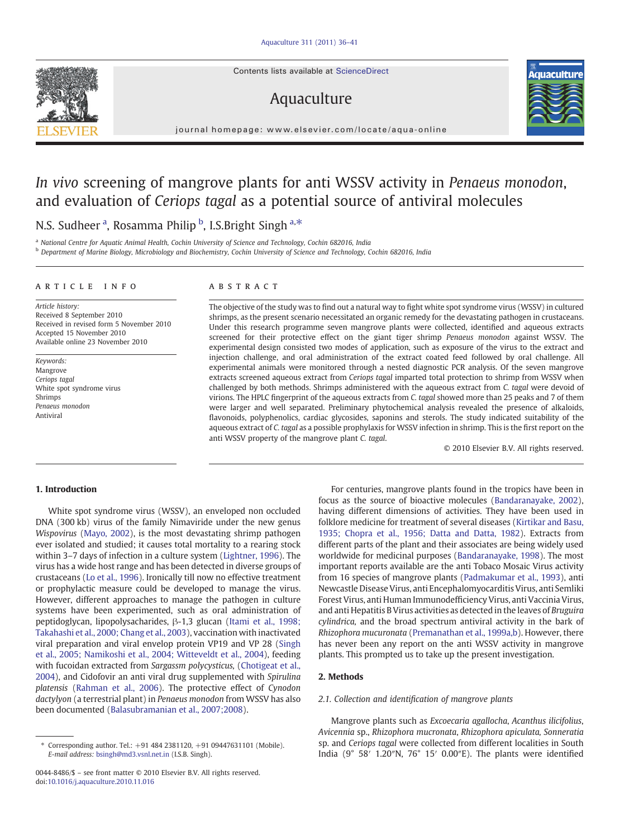Contents lists available at ScienceDirect

# Aquaculture



journal homepage: www.elsevier.com/locate/aqua-online

# In vivo screening of mangrove plants for anti WSSV activity in Penaeus monodon, and evaluation of Ceriops tagal as a potential source of antiviral molecules

N.S. Sudheer <sup>a</sup>, Rosamma Philip <sup>b</sup>, I.S.Bright Singh <sup>a,\*</sup>

<sup>a</sup> National Centre for Aquatic Animal Health, Cochin University of Science and Technology, Cochin 682016, India

<sup>b</sup> Department of Marine Biology, Microbiology and Biochemistry, Cochin University of Science and Technology, Cochin 682016, India

#### article info abstract

Article history: Received 8 September 2010 Received in revised form 5 November 2010 Accepted 15 November 2010 Available online 23 November 2010

Keywords: Mangrove Ceriops tagal White spot syndrome virus Shrimps Penaeus monodon Antiviral

The objective of the study was to find out a natural way to fight white spot syndrome virus (WSSV) in cultured shrimps, as the present scenario necessitated an organic remedy for the devastating pathogen in crustaceans. Under this research programme seven mangrove plants were collected, identified and aqueous extracts screened for their protective effect on the giant tiger shrimp Penaeus monodon against WSSV. The experimental design consisted two modes of application, such as exposure of the virus to the extract and injection challenge, and oral administration of the extract coated feed followed by oral challenge. All experimental animals were monitored through a nested diagnostic PCR analysis. Of the seven mangrove extracts screened aqueous extract from Ceriops tagal imparted total protection to shrimp from WSSV when challenged by both methods. Shrimps administered with the aqueous extract from C. tagal were devoid of virions. The HPLC fingerprint of the aqueous extracts from C. tagal showed more than 25 peaks and 7 of them were larger and well separated. Preliminary phytochemical analysis revealed the presence of alkaloids, flavonoids, polyphenolics, cardiac glycosides, saponins and sterols. The study indicated suitability of the aqueous extract of C. tagal as a possible prophylaxis for WSSV infection in shrimp. This is the first report on the anti WSSV property of the mangrove plant C. tagal.

© 2010 Elsevier B.V. All rights reserved.

# 1. Introduction

White spot syndrome virus (WSSV), an enveloped non occluded DNA (300 kb) virus of the family Nimaviride under the new genus Wispovirus [\(Mayo, 2002\)](#page-5-0), is the most devastating shrimp pathogen ever isolated and studied; it causes total mortality to a rearing stock within 3–7 days of infection in a culture system ([Lightner, 1996](#page-5-0)). The virus has a wide host range and has been detected in diverse groups of crustaceans ([Lo et al., 1996](#page-5-0)). Ironically till now no effective treatment or prophylactic measure could be developed to manage the virus. However, different approaches to manage the pathogen in culture systems have been experimented, such as oral administration of peptidoglycan, lipopolysacharides, β-1,3 glucan [\(Itami et al., 1998;](#page-4-0) [Takahashi et al., 2000; Chang et al., 2003](#page-4-0)), vaccination with inactivated viral preparation and viral envelop protein VP19 and VP 28 [\(Singh](#page-5-0) [et al., 2005; Namikoshi et al., 2004; Witteveldt et al., 2004\)](#page-5-0), feeding with fucoidan extracted from Sargassm polycysticus, [\(Chotigeat et al.,](#page-4-0) [2004\)](#page-4-0), and Cidofovir an anti viral drug supplemented with Spirulina platensis [\(Rahman et al., 2006](#page-5-0)). The protective effect of Cynodon dactylyon (a terrestrial plant) in Penaeus monodon from WSSV has also been documented ([Balasubramanian et al., 2007;2008](#page-4-0)).

For centuries, mangrove plants found in the tropics have been in focus as the source of bioactive molecules ([Bandaranayake, 2002](#page-4-0)), having different dimensions of activities. They have been used in folklore medicine for treatment of several diseases [\(Kirtikar and Basu,](#page-5-0) [1935; Chopra et al., 1956; Datta and Datta, 1982](#page-5-0)). Extracts from different parts of the plant and their associates are being widely used worldwide for medicinal purposes [\(Bandaranayake, 1998](#page-4-0)). The most important reports available are the anti Tobaco Mosaic Virus activity from 16 species of mangrove plants [\(Padmakumar et al., 1993\)](#page-5-0), anti Newcastle Disease Virus, anti Encephalomyocarditis Virus, anti Semliki Forest Virus, anti Human Immunodefficiency Virus, anti Vaccinia Virus, and anti Hepatitis B Virus activities as detected in the leaves of Bruguira cylindrica, and the broad spectrum antiviral activity in the bark of Rhizophora mucuronata ([Premanathan et al., 1999a,b](#page-5-0)). However, there has never been any report on the anti WSSV activity in mangrove plants. This prompted us to take up the present investigation.

# 2. Methods

# 2.1. Collection and identification of mangrove plants

Mangrove plants such as Excoecaria agallocha, Acanthus ilicifolius, Avicennia sp., Rhizophora mucronata, Rhizophora apiculata, Sonneratia sp. and Ceriops tagal were collected from different localities in South India (9° 58′ 1.20″N, 76° 15′ 0.00″E). The plants were identified



<sup>⁎</sup> Corresponding author. Tel.: +91 484 2381120, +91 09447631101 (Mobile). E-mail address: [bsingh@md3.vsnl.net.in](mailto:bsingh@md3.vsnl.net.in) (I.S.B. Singh).

<sup>0044-8486/\$</sup> – see front matter © 2010 Elsevier B.V. All rights reserved. doi[:10.1016/j.aquaculture.2010.11.016](http://dx.doi.org/10.1016/j.aquaculture.2010.11.016)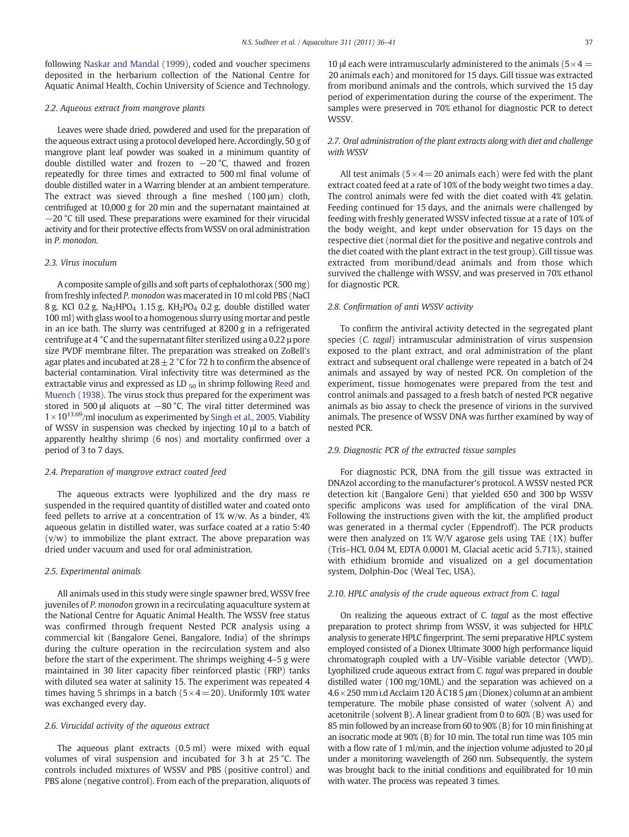following [Naskar and Mandal \(1999\)](#page-5-0), coded and voucher specimens deposited in the herbarium collection of the National Centre for Aquatic Animal Health, Cochin University of Science and Technology.

## 2.2. Aqueous extract from mangrove plants

Leaves were shade dried, powdered and used for the preparation of the aqueous extract using a protocol developed here. Accordingly, 50 g of mangrove plant leaf powder was soaked in a minimum quantity of double distilled water and frozen to −20 °C, thawed and frozen repeatedly for three times and extracted to 500 ml final volume of double distilled water in a Warring blender at an ambient temperature. The extract was sieved through a fine meshed (100 μm) cloth, centrifuged at 10,000 g for 20 min and the supernatant maintained at −20 °C till used. These preparations were examined for their virucidal activity and for their protective effects fromWSSV on oral administration in P. monodon.

# 2.3. Virus inoculum

A composite sample of gills and soft parts of cephalothorax (500 mg) from freshly infected P. monodon was macerated in 10 ml cold PBS (NaCl 8 g, KCl 0.2 g, Na<sub>2</sub>HPO<sub>4</sub> 1.15 g, KH<sub>2</sub>PO<sub>4</sub> 0.2 g, double distilled water 100 ml) with glass wool to a homogenous slurry using mortar and pestle in an ice bath. The slurry was centrifuged at 8200 g in a refrigerated centrifuge at 4 °C and the supernatant filter sterilized using a 0.22 μ pore size PVDF membrane filter. The preparation was streaked on ZoBell's agar plates and incubated at  $28\pm2$  °C for 72 h to confirm the absence of bacterial contamination. Viral infectivity titre was determined as the extractable virus and expressed as LD  $_{50}$  in shrimp following [Reed and](#page-5-0) [Muench \(1938\)](#page-5-0). The virus stock thus prepared for the experiment was stored in 500 μl aliquots at −80 °C. The viral titter determined was  $1\times10^{13.69}$ /ml inoculum as experimented by [Singh et al., 2005](#page-5-0). Viability of WSSV in suspension was checked by injecting 10 μl to a batch of apparently healthy shrimp (6 nos) and mortality confirmed over a period of 3 to 7 days.

## 2.4. Preparation of mangrove extract coated feed

The aqueous extracts were lyophilized and the dry mass re suspended in the required quantity of distilled water and coated onto feed pellets to arrive at a concentration of 1% w/w. As a binder, 4% aqueous gelatin in distilled water, was surface coated at a ratio 5:40 (v/w) to immobilize the plant extract. The above preparation was dried under vacuum and used for oral administration.

#### 2.5. Experimental animals

All animals used in this study were single spawner bred, WSSV free juveniles of P. monodon grown in a recirculating aquaculture system at the National Centre for Aquatic Animal Health. The WSSV free status was confirmed through frequent Nested PCR analysis using a commercial kit (Bangalore Genei, Bangalore, India) of the shrimps during the culture operation in the recirculation system and also before the start of the experiment. The shrimps weighing 4–5 g were maintained in 30 liter capacity fiber reinforced plastic (FRP) tanks with diluted sea water at salinity 15. The experiment was repeated 4 times having 5 shrimps in a batch  $(5 \times 4 = 20)$ . Uniformly 10% water was exchanged every day.

#### 2.6. Virucidal activity of the aqueous extract

The aqueous plant extracts (0.5 ml) were mixed with equal volumes of viral suspension and incubated for 3 h at 25 °C. The controls included mixtures of WSSV and PBS (positive control) and PBS alone (negative control). From each of the preparation, aliquots of 10 μl each were intramuscularly administered to the animals ( $5 \times 4 =$ 20 animals each) and monitored for 15 days. Gill tissue was extracted from moribund animals and the controls, which survived the 15 day period of experimentation during the course of the experiment. The samples were preserved in 70% ethanol for diagnostic PCR to detect WSSV.

# 2.7. Oral administration of the plant extracts along with diet and challenge with WSSV

All test animals ( $5 \times 4 = 20$  animals each) were fed with the plant extract coated feed at a rate of 10% of the body weight two times a day. The control animals were fed with the diet coated with 4% gelatin. Feeding continued for 15 days, and the animals were challenged by feeding with freshly generated WSSV infected tissue at a rate of 10% of the body weight, and kept under observation for 15 days on the respective diet (normal diet for the positive and negative controls and the diet coated with the plant extract in the test group). Gill tissue was extracted from moribund/dead animals and from those which survived the challenge with WSSV, and was preserved in 70% ethanol for diagnostic PCR.

#### 2.8. Confirmation of anti WSSV activity

To confirm the antiviral activity detected in the segregated plant species (C. tagal) intramuscular administration of virus suspension exposed to the plant extract, and oral administration of the plant extract and subsequent oral challenge were repeated in a batch of 24 animals and assayed by way of nested PCR. On completion of the experiment, tissue homogenates were prepared from the test and control animals and passaged to a fresh batch of nested PCR negative animals as bio assay to check the presence of virions in the survived animals. The presence of WSSV DNA was further examined by way of nested PCR.

# 2.9. Diagnostic PCR of the extracted tissue samples

For diagnostic PCR, DNA from the gill tissue was extracted in DNAzol according to the manufacturer's protocol. A WSSV nested PCR detection kit (Bangalore Geni) that yielded 650 and 300 bp WSSV specific amplicons was used for amplification of the viral DNA. Following the instructions given with the kit, the amplified product was generated in a thermal cycler (Eppendroff). The PCR products were then analyzed on 1% W/V agarose gels using TAE (1X) buffer (Tris–HCL 0.04 M, EDTA 0.0001 M, Glacial acetic acid 5.71%), stained with ethidium bromide and visualized on a gel documentation system, Dolphin-Doc (Weal Tec, USA).

# 2.10. HPLC analysis of the crude aqueous extract from C. tagal

On realizing the aqueous extract of C. tagal as the most effective preparation to protect shrimp from WSSV, it was subjected for HPLC analysis to generate HPLC fingerprint. The semi preparative HPLC system employed consisted of a Dionex Ultimate 3000 high performance liquid chromatograph coupled with a UV–Visible variable detector (VWD). Lyophilized crude aqueous extract from C. tagal was prepared in double distilled water (100 mg/10ML) and the separation was achieved on a  $4.6 \times 250$  mm i.d Acclaim 120 Å C18 5  $\mu$ m (Dionex) column at an ambient temperature. The mobile phase consisted of water (solvent A) and acetonitrile (solvent B). A linear gradient from 0 to 60% (B) was used for 85 min followed by an increase from 60 to 90% (B) for 10 min finishing at an isocratic mode at 90% (B) for 10 min. The total run time was 105 min with a flow rate of 1 ml/min, and the injection volume adjusted to 20  $\mu$ under a monitoring wavelength of 260 nm. Subsequently, the system was brought back to the initial conditions and equilibrated for 10 min with water. The process was repeated 3 times.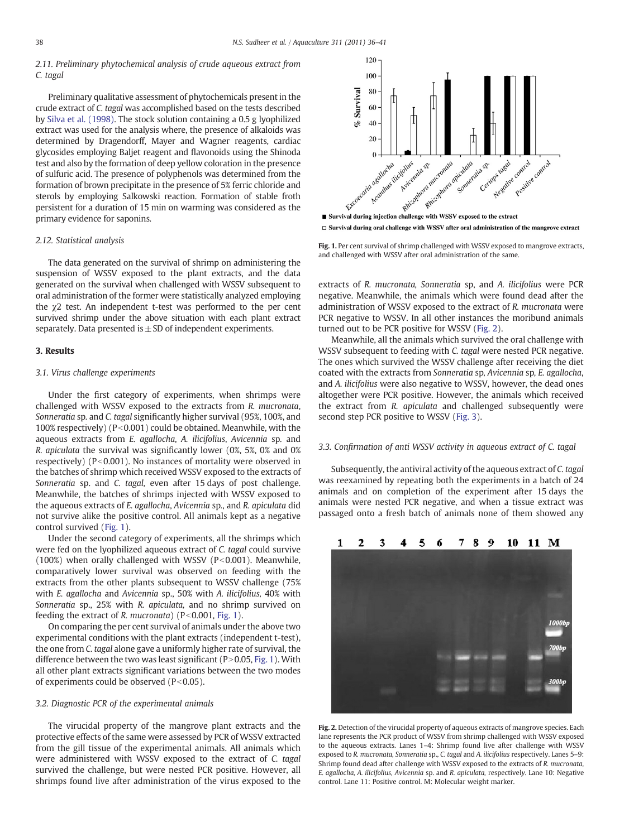# 2.11. Preliminary phytochemical analysis of crude aqueous extract from C. tagal

Preliminary qualitative assessment of phytochemicals present in the crude extract of C. tagal was accomplished based on the tests described by [Silva et al. \(1998\)](#page-5-0). The stock solution containing a 0.5 g lyophilized extract was used for the analysis where, the presence of alkaloids was determined by Dragendorff, Mayer and Wagner reagents, cardiac glycosides employing Baljet reagent and flavonoids using the Shinoda test and also by the formation of deep yellow coloration in the presence of sulfuric acid. The presence of polyphenols was determined from the formation of brown precipitate in the presence of 5% ferric chloride and sterols by employing Salkowski reaction. Formation of stable froth persistent for a duration of 15 min on warming was considered as the primary evidence for saponins.

### 2.12. Statistical analysis

The data generated on the survival of shrimp on administering the suspension of WSSV exposed to the plant extracts, and the data generated on the survival when challenged with WSSV subsequent to oral administration of the former were statistically analyzed employing the χ2 test. An independent t-test was performed to the per cent survived shrimp under the above situation with each plant extract separately. Data presented is  $\pm$  SD of independent experiments.

# 3. Results

#### 3.1. Virus challenge experiments

Under the first category of experiments, when shrimps were challenged with WSSV exposed to the extracts from R. mucronata, Sonneratia sp. and C. tagal significantly higher survival (95%, 100%, and 100% respectively) ( $P<0.001$ ) could be obtained. Meanwhile, with the aqueous extracts from E. agallocha, A. ilicifolius, Avicennia sp. and R. apiculata the survival was significantly lower (0%, 5%, 0% and 0% respectively) ( $P < 0.001$ ). No instances of mortality were observed in the batches of shrimp which received WSSV exposed to the extracts of Sonneratia sp. and C. tagal, even after 15 days of post challenge. Meanwhile, the batches of shrimps injected with WSSV exposed to the aqueous extracts of E. agallocha, Avicennia sp., and R. apiculata did not survive alike the positive control. All animals kept as a negative control survived (Fig. 1).

Under the second category of experiments, all the shrimps which were fed on the lyophilized aqueous extract of C. tagal could survive (100%) when orally challenged with WSSV ( $P<0.001$ ). Meanwhile, comparatively lower survival was observed on feeding with the extracts from the other plants subsequent to WSSV challenge (75% with E. agallocha and Avicennia sp., 50% with A. ilicifolius, 40% with Sonneratia sp., 25% with R. apiculata, and no shrimp survived on feeding the extract of R. mucronata) ( $P<0.001$ , Fig. 1).

On comparing the per cent survival of animals under the above two experimental conditions with the plant extracts (independent t-test), the one from C. tagal alone gave a uniformly higher rate of survival, the difference between the two was least significant ( $P > 0.05$ , Fig. 1). With all other plant extracts significant variations between the two modes of experiments could be observed  $(P<0.05)$ .

# 3.2. Diagnostic PCR of the experimental animals

The virucidal property of the mangrove plant extracts and the protective effects of the same were assessed by PCR of WSSV extracted from the gill tissue of the experimental animals. All animals which were administered with WSSV exposed to the extract of C. tagal survived the challenge, but were nested PCR positive. However, all shrimps found live after administration of the virus exposed to the



 $\Box$  Survival during oral challenge with WSSV after oral administration of the mangrove extract

Fig. 1. Per cent survival of shrimp challenged with WSSV exposed to mangrove extracts, and challenged with WSSV after oral administration of the same.

extracts of R. mucronata, Sonneratia sp, and A. ilicifolius were PCR negative. Meanwhile, the animals which were found dead after the administration of WSSV exposed to the extract of R. mucronata were PCR negative to WSSV. In all other instances the moribund animals turned out to be PCR positive for WSSV (Fig. 2).

Meanwhile, all the animals which survived the oral challenge with WSSV subsequent to feeding with C. tagal were nested PCR negative. The ones which survived the WSSV challenge after receiving the diet coated with the extracts from Sonneratia sp, Avicennia sp, E. agallocha, and A. ilicifolius were also negative to WSSV, however, the dead ones altogether were PCR positive. However, the animals which received the extract from R. apiculata and challenged subsequently were second step PCR positive to WSSV [\(Fig. 3](#page-3-0)).

#### 3.3. Confirmation of anti WSSV activity in aqueous extract of C. tagal

Subsequently, the antiviral activity of the aqueous extract of C. tagal was reexamined by repeating both the experiments in a batch of 24 animals and on completion of the experiment after 15 days the animals were nested PCR negative, and when a tissue extract was passaged onto a fresh batch of animals none of them showed any



Fig. 2. Detection of the virucidal property of aqueous extracts of mangrove species. Each lane represents the PCR product of WSSV from shrimp challenged with WSSV exposed to the aqueous extracts. Lanes 1–4: Shrimp found live after challenge with WSSV exposed to R. mucronata, Sonneratia sp., C. tagal and A. ilicifolius respectively. Lanes 5–9: Shrimp found dead after challenge with WSSV exposed to the extracts of R. mucronata, E. agallocha, A. ilicifolius, Avicennia sp. and R. apiculata, respectively. Lane 10: Negative control. Lane 11: Positive control. M: Molecular weight marker.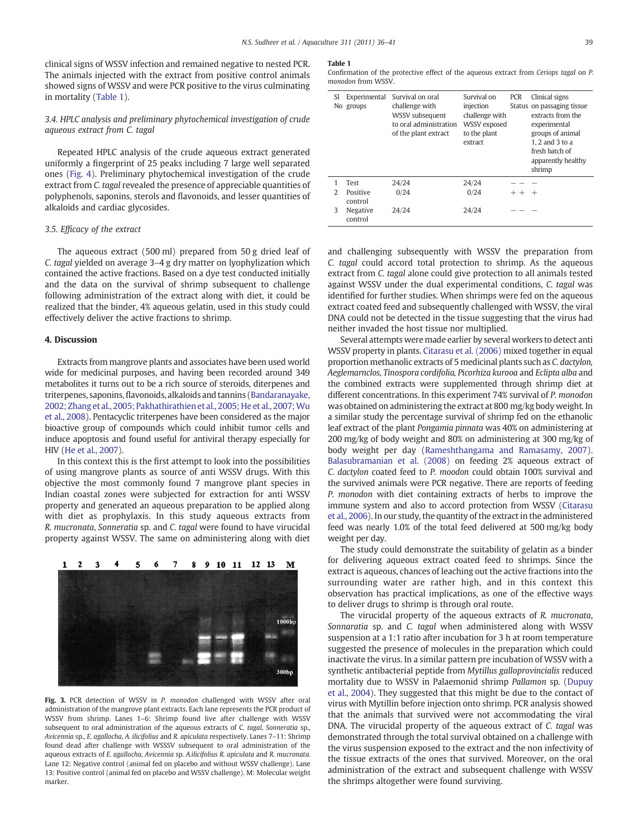<span id="page-3-0"></span>clinical signs of WSSV infection and remained negative to nested PCR. The animals injected with the extract from positive control animals showed signs of WSSV and were PCR positive to the virus culminating in mortality (Table 1).

# 3.4. HPLC analysis and preliminary phytochemical investigation of crude aqueous extract from C. tagal

Repeated HPLC analysis of the crude aqueous extract generated uniformly a fingerprint of 25 peaks including 7 large well separated ones [\(Fig. 4](#page-4-0)). Preliminary phytochemical investigation of the crude extract from C. tagal revealed the presence of appreciable quantities of polyphenols, saponins, sterols and flavonoids, and lesser quantities of alkaloids and cardiac glycosides.

### 3.5. Efficacy of the extract

The aqueous extract (500 ml) prepared from 50 g dried leaf of C. tagal yielded on average 3–4 g dry matter on lyophylization which contained the active fractions. Based on a dye test conducted initially and the data on the survival of shrimp subsequent to challenge following administration of the extract along with diet, it could be realized that the binder, 4% aqueous gelatin, used in this study could effectively deliver the active fractions to shrimp.

#### 4. Discussion

Extracts from mangrove plants and associates have been used world wide for medicinal purposes, and having been recorded around 349 metabolites it turns out to be a rich source of steroids, diterpenes and triterpenes, saponins, flavonoids, alkaloids and tannins ([Bandaranayake,](#page-4-0) [2002; Zhang et al., 2005; Pakhathirathien et al., 2005; He et al., 2007;Wu](#page-4-0) [et al., 2008\)](#page-4-0). Pentacyclic triterpenes have been considered as the major bioactive group of compounds which could inhibit tumor cells and induce apoptosis and found useful for antiviral therapy especially for HIV [\(He et al., 2007](#page-4-0)).

In this context this is the first attempt to look into the possibilities of using mangrove plants as source of anti WSSV drugs. With this objective the most commonly found 7 mangrove plant species in Indian coastal zones were subjected for extraction for anti WSSV property and generated an aqueous preparation to be applied along with diet as prophylaxis. In this study aqueous extracts from R. mucronata, Sonneratia sp. and C. tagal were found to have virucidal property against WSSV. The same on administering along with diet



Fig. 3. PCR detection of WSSV in P. monodon challenged with WSSV after oral administration of the mangrove plant extracts. Each lane represents the PCR product of WSSV from shrimp. Lanes 1–6: Shrimp found live after challenge with WSSV subsequent to oral administration of the aqueous extracts of C. tagal, Sonneratia sp., Avicennia sp., E. agallocha, A. ilicifolius and R. apiculata respectively. Lanes 7–11: Shrimp found dead after challenge with WSSSV subsequent to oral administration of the aqueous extracts of E. agallocha, Avicennia sp. A.ilicifolius R. apiculata and R. mucronata. Lane 12: Negative control (animal fed on placebo and without WSSV challenge). Lane 13: Positive control (animal fed on placebo and WSSV challenge). M: Molecular weight marker.

#### Table 1

Confirmation of the protective effect of the aqueous extract from Ceriops tagal on P. monodon from WSSV.

| SI            | Experimental<br>No groups | Survival on oral<br>challenge with<br>WSSV subsequent<br>to oral administration<br>of the plant extract | Survival on<br>injection<br>challenge with<br>WSSV exposed<br>to the plant<br>extract | <b>PCR</b> | Clinical signs<br>Status on passaging tissue<br>extracts from the<br>experimental<br>groups of animal<br>1. 2 and 3 to a<br>fresh batch of<br>apparently healthy<br>shrimp |
|---------------|---------------------------|---------------------------------------------------------------------------------------------------------|---------------------------------------------------------------------------------------|------------|----------------------------------------------------------------------------------------------------------------------------------------------------------------------------|
|               | Test                      | 24/24                                                                                                   | 24/24                                                                                 |            |                                                                                                                                                                            |
| $\mathcal{L}$ | Positive<br>control       | 0/24                                                                                                    | 0/24                                                                                  | $+ +$      | $+$                                                                                                                                                                        |
| 3             | Negative<br>control       | 24/24                                                                                                   | 24/24                                                                                 |            |                                                                                                                                                                            |

and challenging subsequently with WSSV the preparation from C. tagal could accord total protection to shrimp. As the aqueous extract from C. tagal alone could give protection to all animals tested against WSSV under the dual experimental conditions, C. tagal was identified for further studies. When shrimps were fed on the aqueous extract coated feed and subsequently challenged with WSSV, the viral DNA could not be detected in the tissue suggesting that the virus had neither invaded the host tissue nor multiplied.

Several attempts were made earlier by several workers to detect anti WSSV property in plants. [Citarasu et al. \(2006\)](#page-4-0) mixed together in equal proportion methanolic extracts of 5 medicinal plants such as C. dactylon, Aeglemarnclos, Tinospora cordifolia, Picorhiza kurooa and Eclipta alba and the combined extracts were supplemented through shrimp diet at different concentrations. In this experiment 74% survival of P. monodon was obtained on administering the extract at 800 mg/kg body weight. In a similar study the percentage survival of shrimp fed on the ethanolic leaf extract of the plant Pongamia pinnata was 40% on administering at 200 mg/kg of body weight and 80% on administering at 300 mg/kg of body weight per day ([Rameshthangama and Ramasamy, 2007](#page-5-0)). [Balasubramanian et al. \(2008\)](#page-4-0) on feeding 2% aqueous extract of C. dactylon coated feed to P. moodon could obtain 100% survival and the survived animals were PCR negative. There are reports of feeding P. monodon with diet containing extracts of herbs to improve the immune system and also to accord protection from WSSV ([Citarasu](#page-4-0) [et al., 2006](#page-4-0)). In our study, the quantity of the extract in the administered feed was nearly 1.0% of the total feed delivered at 500 mg/kg body weight per day.

The study could demonstrate the suitability of gelatin as a binder for delivering aqueous extract coated feed to shrimps. Since the extract is aqueous, chances of leaching out the active fractions into the surrounding water are rather high, and in this context this observation has practical implications, as one of the effective ways to deliver drugs to shrimp is through oral route.

The virucidal property of the aqueous extracts of R. mucronata, Sonnaratia sp. and C. tagal when administered along with WSSV suspension at a 1:1 ratio after incubation for 3 h at room temperature suggested the presence of molecules in the preparation which could inactivate the virus. In a similar pattern pre incubation of WSSV with a synthetic antibacterial peptide from Mytillus galloprovincialis reduced mortality due to WSSV in Palaemonid shrimp Pallamon sp. [\(Dupuy](#page-4-0) [et al., 2004\)](#page-4-0). They suggested that this might be due to the contact of virus with Mytillin before injection onto shrimp. PCR analysis showed that the animals that survived were not accommodating the viral DNA. The virucidal property of the aqueous extract of C. tagal was demonstrated through the total survival obtained on a challenge with the virus suspension exposed to the extract and the non infectivity of the tissue extracts of the ones that survived. Moreover, on the oral administration of the extract and subsequent challenge with WSSV the shrimps altogether were found surviving.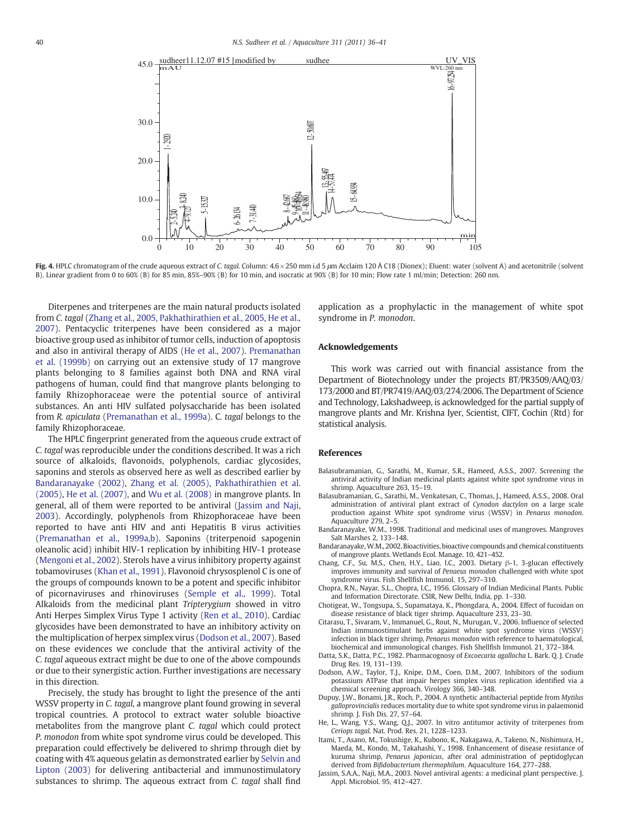<span id="page-4-0"></span>

Fig. 4. HPLC chromatogram of the crude aqueous extract of C. tagal. Column: 4.6 × 250 mm i.d 5  $\mu$ m Acclaim 120 Å C18 (Dionex); Eluent: water (solvent A) and acetonitrile (solvent B). Linear gradient from 0 to 60% (B) for 85 min, 85%–90% (B) for 10 min, and isocratic at 90% (B) for 10 min; Flow rate 1 ml/min; Detection: 260 nm.

Diterpenes and triterpenes are the main natural products isolated from C. tagal [\(Zhang et al., 2005, Pakhathirathien et al., 2005, He et al.,](#page-5-0) [2007\)](#page-5-0). Pentacyclic triterpenes have been considered as a major bioactive group used as inhibitor of tumor cells, induction of apoptosis and also in antiviral therapy of AIDS (He et al., 2007). [Premanathan](#page-5-0) [et al. \(1999b\)](#page-5-0) on carrying out an extensive study of 17 mangrove plants belonging to 8 families against both DNA and RNA viral pathogens of human, could find that mangrove plants belonging to family Rhizophoraceae were the potential source of antiviral substances. An anti HIV sulfated polysaccharide has been isolated from R. apiculata ([Premanathan et al., 1999a](#page-5-0)). C. tagal belongs to the family Rhizophoraceae.

The HPLC fingerprint generated from the aqueous crude extract of C. tagal was reproducible under the conditions described. It was a rich source of alkaloids, flavonoids, polyphenols, cardiac glycosides, saponins and sterols as observed here as well as described earlier by Bandaranayake (2002), [Zhang et al. \(2005\)](#page-5-0), [Pakhathirathien et al.](#page-5-0) [\(2005\),](#page-5-0) He et al. (2007), and [Wu et al. \(2008\)](#page-5-0) in mangrove plants. In general, all of them were reported to be antiviral (Jassim and Naji, 2003). Accordingly, polyphenols from Rhizophoraceae have been reported to have anti HIV and anti Hepatitis B virus activities [\(Premanathan et al., 1999a,b\)](#page-5-0). Saponins (triterpenoid sapogenin oleanolic acid) inhibit HIV-1 replication by inhibiting HIV-1 protease [\(Mengoni et al., 2002\)](#page-5-0). Sterols have a virus inhibitory property against tobamoviruses ([Khan et al., 1991\)](#page-5-0). Flavonoid chrysosplenol C is one of the groups of compounds known to be a potent and specific inhibitor of picornaviruses and rhinoviruses ([Semple et al., 1999\)](#page-5-0). Total Alkaloids from the medicinal plant Tripterygium showed in vitro Anti Herpes Simplex Virus Type 1 activity [\(Ren et al., 2010](#page-5-0)). Cardiac glycosides have been demonstrated to have an inhibitory activity on the multiplication of herpex simplex virus (Dodson et al., 2007). Based on these evidences we conclude that the antiviral activity of the C. tagal aqueous extract might be due to one of the above compounds or due to their synergistic action. Further investigations are necessary in this direction.

Precisely, the study has brought to light the presence of the anti WSSV property in C. tagal, a mangrove plant found growing in several tropical countries. A protocol to extract water soluble bioactive metabolites from the mangrove plant C. tagal which could protect P. monodon from white spot syndrome virus could be developed. This preparation could effectively be delivered to shrimp through diet by coating with 4% aqueous gelatin as demonstrated earlier by [Selvin and](#page-5-0) [Lipton \(2003\)](#page-5-0) for delivering antibacterial and immunostimulatory substances to shrimp. The aqueous extract from C. tagal shall find

application as a prophylactic in the management of white spot syndrome in P. monodon.

#### Acknowledgements

This work was carried out with financial assistance from the Department of Biotechnology under the projects BT/PR3509/AAQ/03/ 173/2000 and BT/PR7419/AAQ/03/274/2006. The Department of Science and Technology, Lakshadweep, is acknowledged for the partial supply of mangrove plants and Mr. Krishna Iyer, Scientist, CIFT, Cochin (Rtd) for statistical analysis.

# References

- Balasubramanian, G., Sarathi, M., Kumar, S.R., Hameed, A.S.S., 2007. Screening the antiviral activity of Indian medicinal plants against white spot syndrome virus in shrimp. Aquaculture 263, 15–19.
- Balasubramanian, G., Sarathi, M., Venkatesan, C., Thomas, J., Hameed, A.S.S., 2008. Oral administration of antiviral plant extract of Cynodon dactylon on a large scale production against White spot syndrome virus (WSSV) in Penaeus monodon. Aquaculture 279, 2–5.
- Bandaranayake, W.M., 1998. Traditional and medicinal uses of mangroves. Mangroves Salt Marshes 2, 133–148.
- Bandaranayake,W.M., 2002. Bioactivities, bioactive compounds and chemical constituents of mangrove plants. Wetlands Ecol. Manage. 10, 421–452.
- Chang, C.F., Su, M.S., Chen, H.Y., Liao, I.C., 2003. Dietary β-1, 3-glucan effectively improves immunity and survival of Penaeus monodon challenged with white spot syndrome virus. Fish Shellfish Immunol. 15, 297–310.
- Chopra, R.N., Nayar, S.L., Chopra, I.C., 1956. Glossary of Indian Medicinal Plants. Public and Information Directorate. CSIR, New Delhi, India, pp. 1–330.
- Chotigeat, W., Tongsupa, S., Supamataya, K., Phongdara, A., 2004. Effect of fucoidan on disease resistance of black tiger shrimp. Aquaculture 233, 23–30.
- Citarasu, T., Sivaram, V., Immanuel, G., Rout, N., Murugan, V., 2006. Influence of selected Indian immunostimulant herbs against white spot syndrome virus (WSSV) infection in black tiger shrimp, Penaeus monodon with reference to haematological, biochemical and immunological changes. Fish Shellfish Immunol. 21, 372–384.
- Datta, S.K., Datta, P.C., 1982. Pharmacognosy of Excoecaria agallocha L. Bark. Q. J. Crude Drug Res. 19, 131–139.
- Dodson, A.W., Taylor, T.J., Knipe, D.M., Coen, D.M., 2007. Inhibitors of the sodium potassium ATPase that impair herpes simplex virus replication identified via a chemical screening approach. Virology 366, 340–348.
- Dupuy, J.W., Bonami, J.R., Roch, P., 2004. A synthetic antibacterial peptide from Mytilus galloprovincialis reduces mortality due to white spot syndrome virus in palaemonid shrimp. J. Fish Dis. 27, 57–64.
- He, L., Wang, Y.S., Wang, Q.J., 2007. In vitro antitumor activity of triterpenes from Ceriops tagal. Nat. Prod. Res. 21, 1228–1233.
- Itami, T., Asano, M., Tokushige, K., Kubono, K., Nakagawa, A., Takeno, N., Nishimura, H., Maeda, M., Kondo, M., Takahashi, Y., 1998. Enhancement of disease resistance of kuruma shrimp, Penaeus japonicus, after oral administration of peptidoglycan derived from Bifidobacterium thermophilum. Aquaculture 164, 277–288.
- Jassim, S.A.A., Naji, M.A., 2003. Novel antiviral agents: a medicinal plant perspective. J. Appl. Microbiol. 95, 412–427.